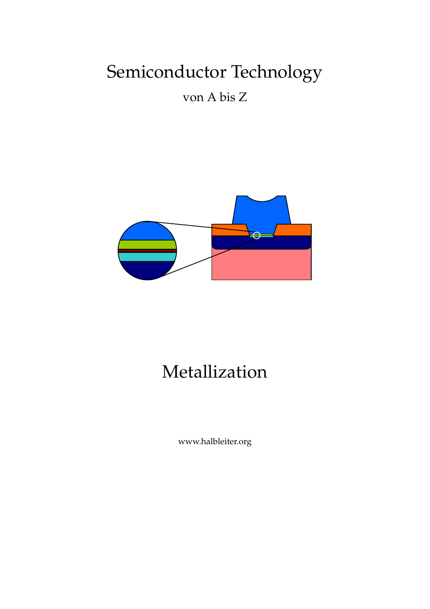# Semiconductor Technology

von A bis Z



# Metallization

www.halbleiter.org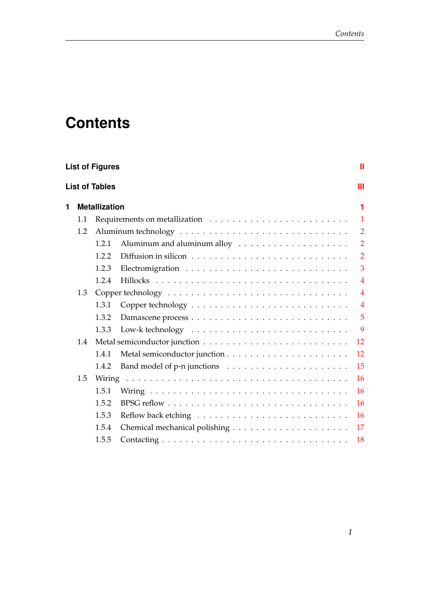## **Contents**

| <b>List of Figures</b><br>Ш |     |                       |  |                |  |  |  |  |
|-----------------------------|-----|-----------------------|--|----------------|--|--|--|--|
|                             |     | <b>List of Tables</b> |  | Ш              |  |  |  |  |
| 1                           |     | <b>Metallization</b>  |  | 1              |  |  |  |  |
|                             | 1.1 |                       |  | $\mathbf{1}$   |  |  |  |  |
|                             | 1.2 |                       |  | $\overline{2}$ |  |  |  |  |
|                             |     | 1.2.1                 |  | $\overline{2}$ |  |  |  |  |
|                             |     | 1.2.2                 |  | $\overline{2}$ |  |  |  |  |
|                             |     | 1.2.3                 |  | 3              |  |  |  |  |
|                             |     | 1.2.4                 |  | $\overline{4}$ |  |  |  |  |
|                             | 1.3 |                       |  | $\overline{4}$ |  |  |  |  |
|                             |     | 1.3.1                 |  | $\overline{4}$ |  |  |  |  |
|                             |     | 1.3.2                 |  | 5              |  |  |  |  |
|                             |     | 1.3.3                 |  | 9              |  |  |  |  |
|                             | 1.4 |                       |  | 12             |  |  |  |  |
|                             |     | 1.4.1                 |  | 12             |  |  |  |  |
|                             |     | 1.4.2                 |  | 15             |  |  |  |  |
|                             | 1.5 |                       |  | 16             |  |  |  |  |
|                             |     | 1.5.1                 |  | 16             |  |  |  |  |
|                             |     | 1.5.2                 |  | 16             |  |  |  |  |
|                             |     | 1.5.3                 |  | 16             |  |  |  |  |
|                             |     | 1.5.4                 |  | 17             |  |  |  |  |
|                             |     | 1.5.5                 |  | 18             |  |  |  |  |
|                             |     |                       |  |                |  |  |  |  |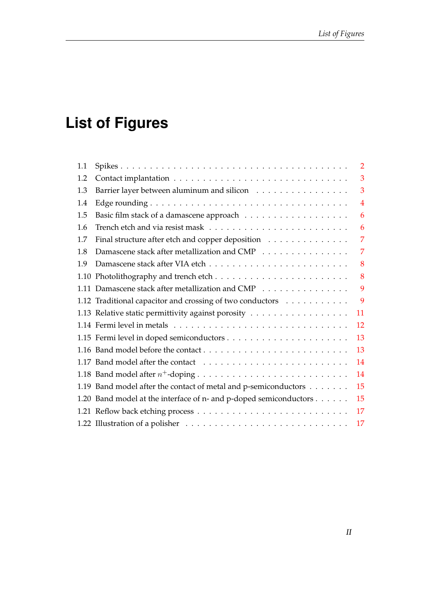# <span id="page-3-0"></span>**List of Figures**

| 1.1 |                                                                   | $\overline{2}$ |
|-----|-------------------------------------------------------------------|----------------|
| 1.2 |                                                                   | 3              |
| 1.3 | Barrier layer between aluminum and silicon                        | 3              |
| 1.4 |                                                                   | 4              |
| 1.5 |                                                                   | 6              |
| 1.6 |                                                                   | 6              |
| 1.7 | Final structure after etch and copper deposition                  | 7              |
| 1.8 | Damascene stack after metallization and CMP                       | 7              |
| 1.9 |                                                                   | 8              |
|     |                                                                   | 8              |
|     | 1.11 Damascene stack after metallization and CMP                  | 9              |
|     | 1.12 Traditional capacitor and crossing of two conductors         | 9              |
|     | 1.13 Relative static permittivity against porosity                | 11             |
|     |                                                                   | 12             |
|     |                                                                   | 13             |
|     |                                                                   | 13             |
|     |                                                                   | 14             |
|     |                                                                   | 14             |
|     | 1.19 Band model after the contact of metal and p-semiconductors   | 15             |
|     | 1.20 Band model at the interface of n- and p-doped semiconductors | 15             |
|     |                                                                   | 17             |
|     |                                                                   | 17             |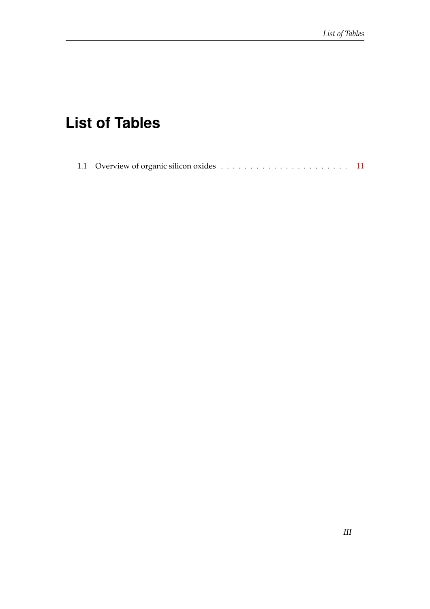## <span id="page-4-0"></span>**List of Tables**

|--|--|--|--|--|--|--|--|--|--|--|--|--|--|--|--|--|--|--|--|--|--|--|--|--|--|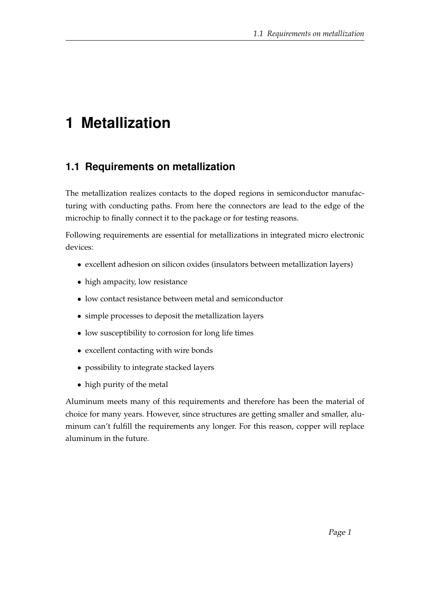## <span id="page-5-0"></span>**1 Metallization**

### <span id="page-5-1"></span>**1.1 Requirements on metallization**

The metallization realizes contacts to the doped regions in semiconductor manufacturing with conducting paths. From here the connectors are lead to the edge of the microchip to finally connect it to the package or for testing reasons.

Following requirements are essential for metallizations in integrated micro electronic devices:

- excellent adhesion on silicon oxides (insulators between metallization layers)
- high ampacity, low resistance
- low contact resistance between metal and semiconductor
- simple processes to deposit the metallization layers
- low susceptibility to corrosion for long life times
- excellent contacting with wire bonds
- possibility to integrate stacked layers
- high purity of the metal

Aluminum meets many of this requirements and therefore has been the material of choice for many years. However, since structures are getting smaller and smaller, aluminum can't fulfill the requirements any longer. For this reason, copper will replace aluminum in the future.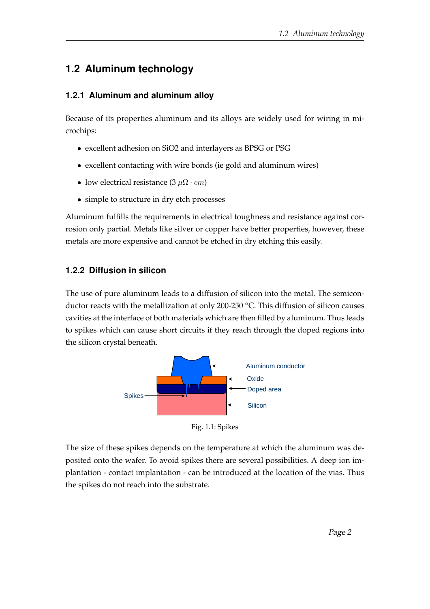## <span id="page-6-0"></span>**1.2 Aluminum technology**

#### <span id="page-6-1"></span>**1.2.1 Aluminum and aluminum alloy**

Because of its properties aluminum and its alloys are widely used for wiring in microchips:

- excellent adhesion on SiO2 and interlayers as BPSG or PSG
- excellent contacting with wire bonds (ie gold and aluminum wires)
- low electrical resistance  $(3 \mu \Omega \cdot cm)$
- simple to structure in dry etch processes

Aluminum fulfills the requirements in electrical toughness and resistance against corrosion only partial. Metals like silver or copper have better properties, however, these metals are more expensive and cannot be etched in dry etching this easily.

#### <span id="page-6-2"></span>**1.2.2 Diffusion in silicon**

The use of pure aluminum leads to a diffusion of silicon into the metal. The semiconductor reacts with the metallization at only 200-250 ◦C. This diffusion of silicon causes cavities at the interface of both materials which are then filled by aluminum. Thus leads to spikes which can cause short circuits if they reach through the doped regions into the silicon crystal beneath.

<span id="page-6-3"></span>

Fig. 1.1: Spikes

The size of these spikes depends on the temperature at which the aluminum was deposited onto the wafer. To avoid spikes there are several possibilities. A deep ion implantation - contact implantation - can be introduced at the location of the vias. Thus the spikes do not reach into the substrate.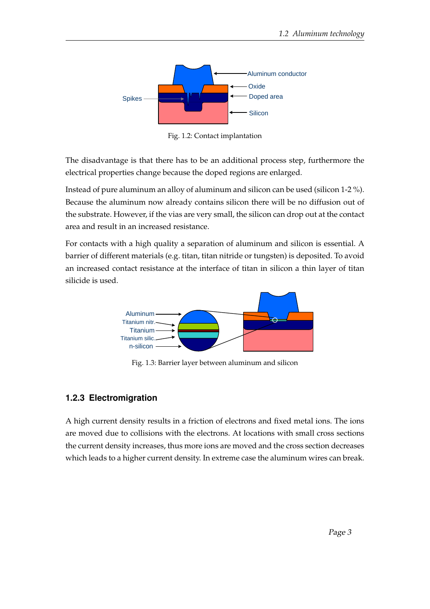<span id="page-7-1"></span>

Fig. 1.2: Contact implantation

The disadvantage is that there has to be an additional process step, furthermore the electrical properties change because the doped regions are enlarged.

Instead of pure aluminum an alloy of aluminum and silicon can be used (silicon 1-2 %). Because the aluminum now already contains silicon there will be no diffusion out of the substrate. However, if the vias are very small, the silicon can drop out at the contact area and result in an increased resistance.

<span id="page-7-2"></span>For contacts with a high quality a separation of aluminum and silicon is essential. A barrier of different materials (e.g. titan, titan nitride or tungsten) is deposited. To avoid an increased contact resistance at the interface of titan in silicon a thin layer of titan silicide is used.



Fig. 1.3: Barrier layer between aluminum and silicon

#### <span id="page-7-0"></span>**1.2.3 Electromigration**

A high current density results in a friction of electrons and fixed metal ions. The ions are moved due to collisions with the electrons. At locations with small cross sections the current density increases, thus more ions are moved and the cross section decreases which leads to a higher current density. In extreme case the aluminum wires can break.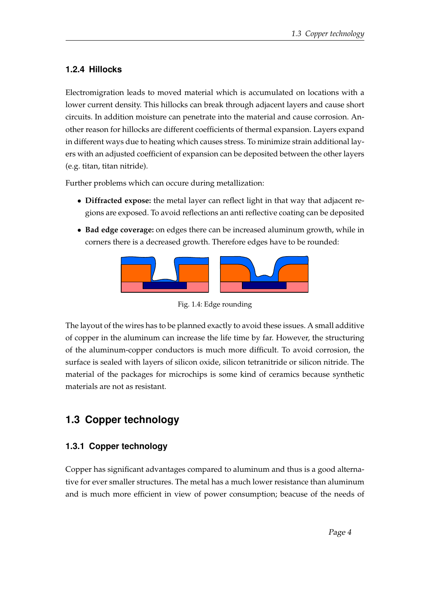#### <span id="page-8-0"></span>**1.2.4 Hillocks**

Electromigration leads to moved material which is accumulated on locations with a lower current density. This hillocks can break through adjacent layers and cause short circuits. In addition moisture can penetrate into the material and cause corrosion. Another reason for hillocks are different coefficients of thermal expansion. Layers expand in different ways due to heating which causes stress. To minimize strain additional layers with an adjusted coefficient of expansion can be deposited between the other layers (e.g. titan, titan nitride).

Further problems which can occure during metallization:

- **Diffracted expose:** the metal layer can reflect light in that way that adjacent regions are exposed. To avoid reflections an anti reflective coating can be deposited
- <span id="page-8-3"></span>• **Bad edge coverage:** on edges there can be increased aluminum growth, while in corners there is a decreased growth. Therefore edges have to be rounded:



Fig. 1.4: Edge rounding

The layout of the wires has to be planned exactly to avoid these issues. A small additive of copper in the aluminum can increase the life time by far. However, the structuring of the aluminum-copper conductors is much more difficult. To avoid corrosion, the surface is sealed with layers of silicon oxide, silicon tetranitride or silicon nitride. The material of the packages for microchips is some kind of ceramics because synthetic materials are not as resistant.

## <span id="page-8-1"></span>**1.3 Copper technology**

#### <span id="page-8-2"></span>**1.3.1 Copper technology**

Copper has significant advantages compared to aluminum and thus is a good alternative for ever smaller structures. The metal has a much lower resistance than aluminum and is much more efficient in view of power consumption; beacuse of the needs of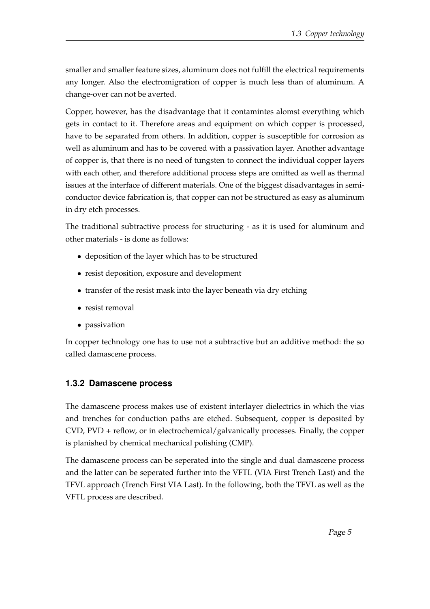smaller and smaller feature sizes, aluminum does not fulfill the electrical requirements any longer. Also the electromigration of copper is much less than of aluminum. A change-over can not be averted.

Copper, however, has the disadvantage that it contamintes alomst everything which gets in contact to it. Therefore areas and equipment on which copper is processed, have to be separated from others. In addition, copper is susceptible for corrosion as well as aluminum and has to be covered with a passivation layer. Another advantage of copper is, that there is no need of tungsten to connect the individual copper layers with each other, and therefore additional process steps are omitted as well as thermal issues at the interface of different materials. One of the biggest disadvantages in semiconductor device fabrication is, that copper can not be structured as easy as aluminum in dry etch processes.

The traditional subtractive process for structuring - as it is used for aluminum and other materials - is done as follows:

- deposition of the layer which has to be structured
- resist deposition, exposure and development
- transfer of the resist mask into the layer beneath via dry etching
- resist removal
- passivation

In copper technology one has to use not a subtractive but an additive method: the so called damascene process.

#### <span id="page-9-0"></span>**1.3.2 Damascene process**

The damascene process makes use of existent interlayer dielectrics in which the vias and trenches for conduction paths are etched. Subsequent, copper is deposited by CVD, PVD + reflow, or in electrochemical/galvanically processes. Finally, the copper is planished by chemical mechanical polishing (CMP).

The damascene process can be seperated into the single and dual damascene process and the latter can be seperated further into the VFTL (VIA First Trench Last) and the TFVL approach (Trench First VIA Last). In the following, both the TFVL as well as the VFTL process are described.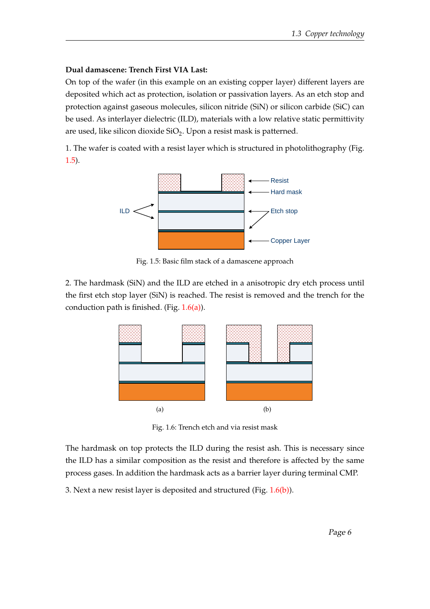#### **Dual damascene: Trench First VIA Last:**

On top of the wafer (in this example on an existing copper layer) different layers are deposited which act as protection, isolation or passivation layers. As an etch stop and protection against gaseous molecules, silicon nitride (SiN) or silicon carbide (SiC) can be used. As interlayer dielectric (ILD), materials with a low relative static permittivity are used, like silicon dioxide SiO<sub>2</sub>. Upon a resist mask is patterned.

<span id="page-10-0"></span>1. The wafer is coated with a resist layer which is structured in photolithography (Fig. [1.5\)](#page-10-0).



Fig. 1.5: Basic film stack of a damascene approach

<span id="page-10-2"></span><span id="page-10-1"></span>2. The hardmask (SiN) and the ILD are etched in a anisotropic dry etch process until the first etch stop layer (SiN) is reached. The resist is removed and the trench for the conduction path is finished. (Fig.  $1.6(a)$ ).



<span id="page-10-3"></span>Fig. 1.6: Trench etch and via resist mask

The hardmask on top protects the ILD during the resist ash. This is necessary since the ILD has a similar composition as the resist and therefore is affected by the same process gases. In addition the hardmask acts as a barrier layer during terminal CMP.

3. Next a new resist layer is deposited and structured (Fig. [1.6\(b\)\)](#page-10-3).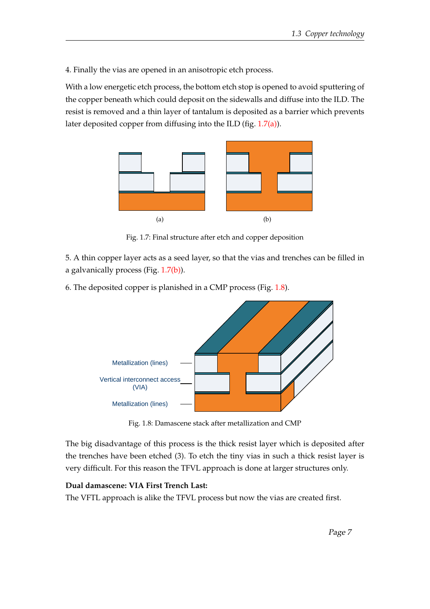4. Finally the vias are opened in an anisotropic etch process.

With a low energetic etch process, the bottom etch stop is opened to avoid sputtering of the copper beneath which could deposit on the sidewalls and diffuse into the ILD. The resist is removed and a thin layer of tantalum is deposited as a barrier which prevents later deposited copper from diffusing into the ILD (fig. [1.7\(a\)\)](#page-11-2).

<span id="page-11-2"></span><span id="page-11-0"></span>

<span id="page-11-3"></span>Fig. 1.7: Final structure after etch and copper deposition

5. A thin copper layer acts as a seed layer, so that the vias and trenches can be filled in a galvanically process (Fig. [1.7\(b\)\)](#page-11-3).

<span id="page-11-1"></span>6. The deposited copper is planished in a CMP process (Fig. [1.8\)](#page-11-1).



Fig. 1.8: Damascene stack after metallization and CMP

The big disadvantage of this process is the thick resist layer which is deposited after the trenches have been etched (3). To etch the tiny vias in such a thick resist layer is very difficult. For this reason the TFVL approach is done at larger structures only.

#### **Dual damascene: VIA First Trench Last:**

The VFTL approach is alike the TFVL process but now the vias are created first.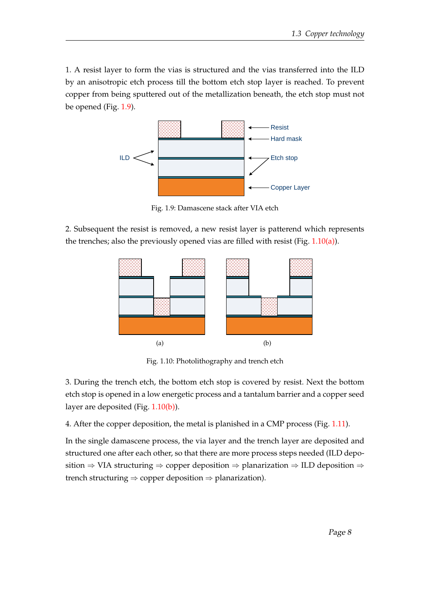1. A resist layer to form the vias is structured and the vias transferred into the ILD by an anisotropic etch process till the bottom etch stop layer is reached. To prevent copper from being sputtered out of the metallization beneath, the etch stop must not be opened (Fig. [1.9\)](#page-12-0).

<span id="page-12-0"></span>

Fig. 1.9: Damascene stack after VIA etch

<span id="page-12-2"></span><span id="page-12-1"></span>2. Subsequent the resist is removed, a new resist layer is patterend which represents the trenches; also the previously opened vias are filled with resist (Fig. [1.10\(a\)\)](#page-12-2).



<span id="page-12-3"></span>Fig. 1.10: Photolithography and trench etch

3. During the trench etch, the bottom etch stop is covered by resist. Next the bottom etch stop is opened in a low energetic process and a tantalum barrier and a copper seed layer are deposited (Fig. [1.10\(b\)\)](#page-12-3).

4. After the copper deposition, the metal is planished in a CMP process (Fig. [1.11\)](#page-13-1).

In the single damascene process, the via layer and the trench layer are deposited and structured one after each other, so that there are more process steps needed (ILD deposition ⇒ VIA structuring ⇒ copper deposition ⇒ planarization ⇒ ILD deposition ⇒ trench structuring  $\Rightarrow$  copper deposition  $\Rightarrow$  planarization).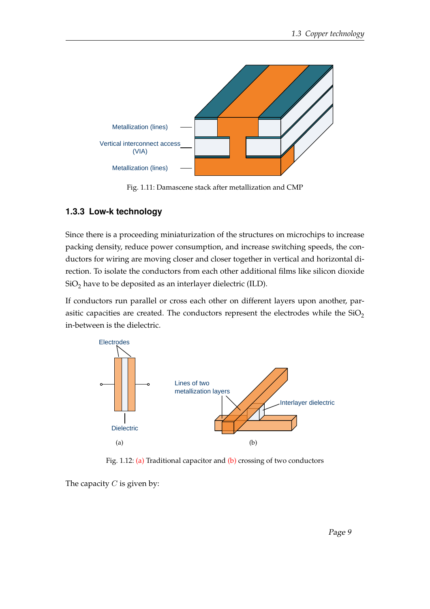<span id="page-13-1"></span>

Fig. 1.11: Damascene stack after metallization and CMP

#### <span id="page-13-0"></span>**1.3.3 Low-k technology**

Since there is a proceeding miniaturization of the structures on microchips to increase packing density, reduce power consumption, and increase switching speeds, the conductors for wiring are moving closer and closer together in vertical and horizontal direction. To isolate the conductors from each other additional films like silicon dioxide  $SiO<sub>2</sub>$  have to be deposited as an interlayer dielectric (ILD).

If conductors run parallel or cross each other on different layers upon another, parasitic capacities are created. The conductors represent the electrodes while the  $SiO<sub>2</sub>$ in-between is the dielectric.

<span id="page-13-3"></span><span id="page-13-2"></span>

<span id="page-13-4"></span>Fig. 1.12: [\(a\)](#page-13-3) Traditional capacitor and [\(b\)](#page-13-4) crossing of two conductors

The capacity  $C$  is given by: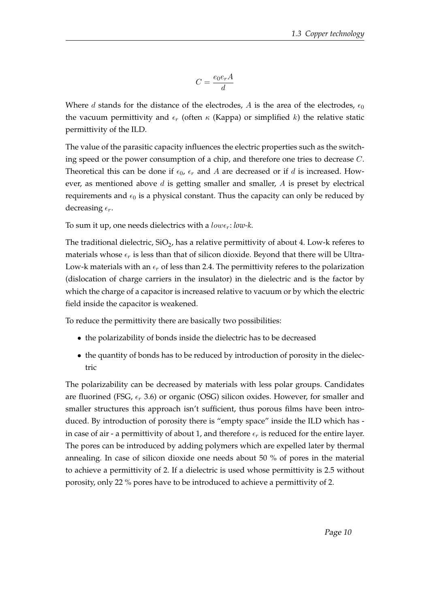$$
C=\frac{e_0 e_r A}{d}
$$

Where d stands for the distance of the electrodes, A is the area of the electrodes,  $\epsilon_0$ the vacuum permittivity and  $\epsilon_r$  (often  $\kappa$  (Kappa) or simplified k) the relative static permittivity of the ILD.

The value of the parasitic capacity influences the electric properties such as the switching speed or the power consumption of a chip, and therefore one tries to decrease C. Theoretical this can be done if  $\epsilon_0$ ,  $\epsilon_r$  and A are decreased or if d is increased. However, as mentioned above  $d$  is getting smaller and smaller,  $A$  is preset by electrical requirements and  $\epsilon_0$  is a physical constant. Thus the capacity can only be reduced by decreasing  $\epsilon_r$ .

To sum it up, one needs dielectrics with a  $low \epsilon_r$ :  $low \epsilon$ .

The traditional dielectric, SiO<sub>2</sub>, has a relative permittivity of about 4. Low-k referes to materials whose  $\epsilon_r$  is less than that of silicon dioxide. Beyond that there will be Ultra-Low-k materials with an  $\epsilon_r$  of less than 2.4. The permittivity referes to the polarization (dislocation of charge carriers in the insulator) in the dielectric and is the factor by which the charge of a capacitor is increased relative to vacuum or by which the electric field inside the capacitor is weakened.

To reduce the permittivity there are basically two possibilities:

- the polarizability of bonds inside the dielectric has to be decreased
- the quantity of bonds has to be reduced by introduction of porosity in the dielectric

The polarizability can be decreased by materials with less polar groups. Candidates are fluorined (FSG,  $\epsilon_r$  3.6) or organic (OSG) silicon oxides. However, for smaller and smaller structures this approach isn't sufficient, thus porous films have been introduced. By introduction of porosity there is "empty space" inside the ILD which has in case of air - a permittivity of about 1, and therefore  $\epsilon_r$  is reduced for the entire layer. The pores can be introduced by adding polymers which are expelled later by thermal annealing. In case of silicon dioxide one needs about 50 % of pores in the material to achieve a permittivity of 2. If a dielectric is used whose permittivity is 2.5 without porosity, only 22 % pores have to be introduced to achieve a permittivity of 2.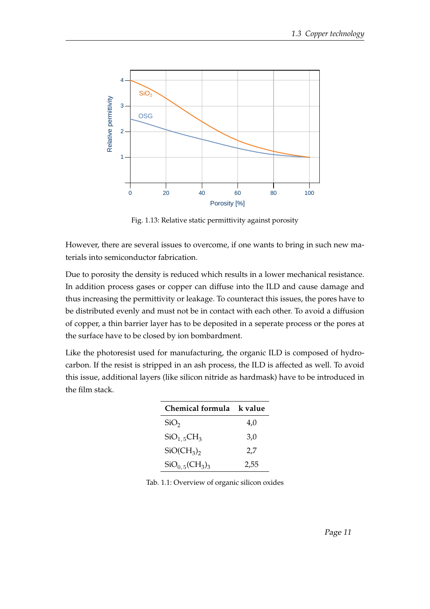<span id="page-15-0"></span>

Fig. 1.13: Relative static permittivity against porosity

However, there are several issues to overcome, if one wants to bring in such new materials into semiconductor fabrication.

Due to porosity the density is reduced which results in a lower mechanical resistance. In addition process gases or copper can diffuse into the ILD and cause damage and thus increasing the permittivity or leakage. To counteract this issues, the pores have to be distributed evenly and must not be in contact with each other. To avoid a diffusion of copper, a thin barrier layer has to be deposited in a seperate process or the pores at the surface have to be closed by ion bombardment.

<span id="page-15-1"></span>Like the photoresist used for manufacturing, the organic ILD is composed of hydrocarbon. If the resist is stripped in an ash process, the ILD is affected as well. To avoid this issue, additional layers (like silicon nitride as hardmask) have to be introduced in the film stack.

| Chemical formula k value          |      |  |  |  |  |  |  |
|-----------------------------------|------|--|--|--|--|--|--|
| SiO <sub>2</sub>                  | 4,0  |  |  |  |  |  |  |
| $SiO_{1.5}CH_3$                   | 3,0  |  |  |  |  |  |  |
| $SiO(CH_3)$                       | 2,7  |  |  |  |  |  |  |
| $\text{SiO}_{0.5}(\text{CH}_3)_3$ | 2,55 |  |  |  |  |  |  |

Tab. 1.1: Overview of organic silicon oxides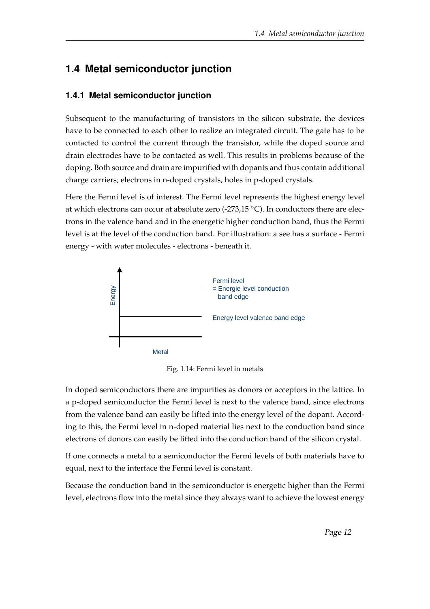## <span id="page-16-0"></span>**1.4 Metal semiconductor junction**

#### <span id="page-16-1"></span>**1.4.1 Metal semiconductor junction**

Subsequent to the manufacturing of transistors in the silicon substrate, the devices have to be connected to each other to realize an integrated circuit. The gate has to be contacted to control the current through the transistor, while the doped source and drain electrodes have to be contacted as well. This results in problems because of the doping. Both source and drain are impurified with dopants and thus contain additional charge carriers; electrons in n-doped crystals, holes in p-doped crystals.

Here the Fermi level is of interest. The Fermi level represents the highest energy level at which electrons can occur at absolute zero (-273,15 ◦C). In conductors there are electrons in the valence band and in the energetic higher conduction band, thus the Fermi level is at the level of the conduction band. For illustration: a see has a surface - Fermi energy - with water molecules - electrons - beneath it.

<span id="page-16-2"></span>

Fig. 1.14: Fermi level in metals

In doped semiconductors there are impurities as donors or acceptors in the lattice. In a p-doped semiconductor the Fermi level is next to the valence band, since electrons from the valence band can easily be lifted into the energy level of the dopant. According to this, the Fermi level in n-doped material lies next to the conduction band since electrons of donors can easily be lifted into the conduction band of the silicon crystal.

If one connects a metal to a semiconductor the Fermi levels of both materials have to equal, next to the interface the Fermi level is constant.

Because the conduction band in the semiconductor is energetic higher than the Fermi level, electrons flow into the metal since they always want to achieve the lowest energy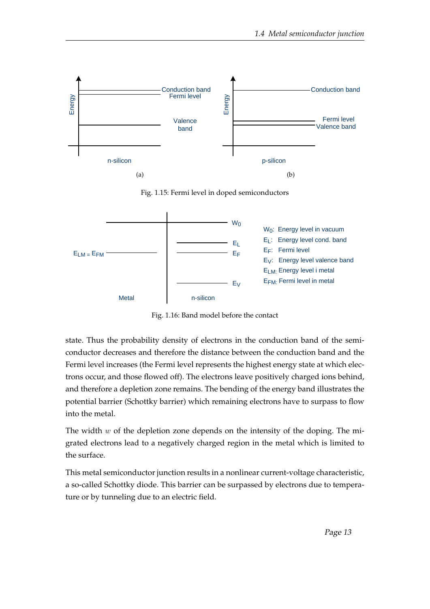<span id="page-17-0"></span>

Fig. 1.15: Fermi level in doped semiconductors

<span id="page-17-1"></span>

Fig. 1.16: Band model before the contact

state. Thus the probability density of electrons in the conduction band of the semiconductor decreases and therefore the distance between the conduction band and the Fermi level increases (the Fermi level represents the highest energy state at which electrons occur, and those flowed off). The electrons leave positively charged ions behind, and therefore a depletion zone remains. The bending of the energy band illustrates the potential barrier (Schottky barrier) which remaining electrons have to surpass to flow into the metal.

The width  $w$  of the depletion zone depends on the intensity of the doping. The migrated electrons lead to a negatively charged region in the metal which is limited to the surface.

This metal semiconductor junction results in a nonlinear current-voltage characteristic, a so-called Schottky diode. This barrier can be surpassed by electrons due to temperature or by tunneling due to an electric field.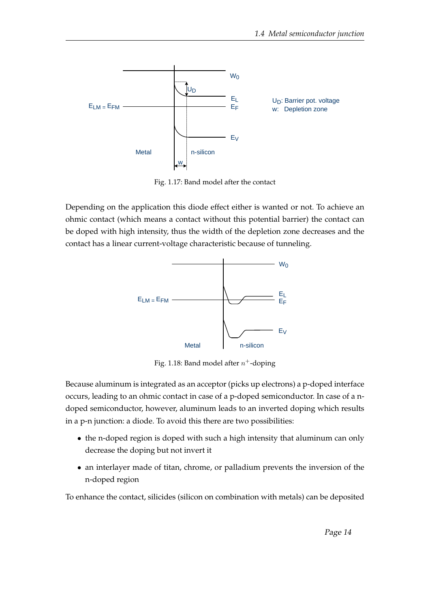<span id="page-18-0"></span>

Fig. 1.17: Band model after the contact

<span id="page-18-1"></span>Depending on the application this diode effect either is wanted or not. To achieve an ohmic contact (which means a contact without this potential barrier) the contact can be doped with high intensity, thus the width of the depletion zone decreases and the contact has a linear current-voltage characteristic because of tunneling.



Fig. 1.18: Band model after  $n^+$ -doping

Because aluminum is integrated as an acceptor (picks up electrons) a p-doped interface occurs, leading to an ohmic contact in case of a p-doped semiconductor. In case of a ndoped semiconductor, however, aluminum leads to an inverted doping which results in a p-n junction: a diode. To avoid this there are two possibilities:

- the n-doped region is doped with such a high intensity that aluminum can only decrease the doping but not invert it
- an interlayer made of titan, chrome, or palladium prevents the inversion of the n-doped region

To enhance the contact, silicides (silicon on combination with metals) can be deposited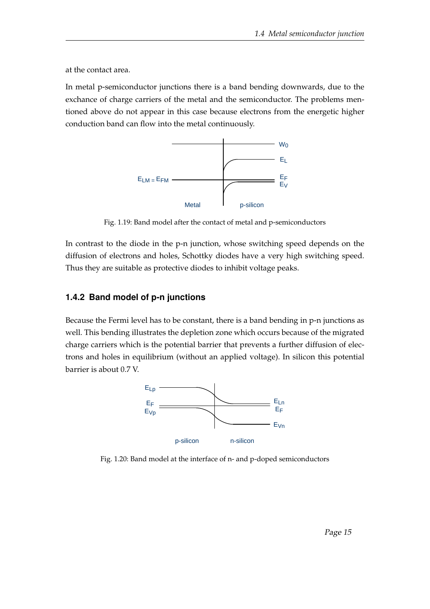at the contact area.

<span id="page-19-1"></span>In metal p-semiconductor junctions there is a band bending downwards, due to the exchance of charge carriers of the metal and the semiconductor. The problems mentioned above do not appear in this case because electrons from the energetic higher conduction band can flow into the metal continuously.



Fig. 1.19: Band model after the contact of metal and p-semiconductors

In contrast to the diode in the p-n junction, whose switching speed depends on the diffusion of electrons and holes, Schottky diodes have a very high switching speed. Thus they are suitable as protective diodes to inhibit voltage peaks.

#### <span id="page-19-0"></span>**1.4.2 Band model of p-n junctions**

<span id="page-19-2"></span>Because the Fermi level has to be constant, there is a band bending in p-n junctions as well. This bending illustrates the depletion zone which occurs because of the migrated charge carriers which is the potential barrier that prevents a further diffusion of electrons and holes in equilibrium (without an applied voltage). In silicon this potential barrier is about 0.7 V.



Fig. 1.20: Band model at the interface of n- and p-doped semiconductors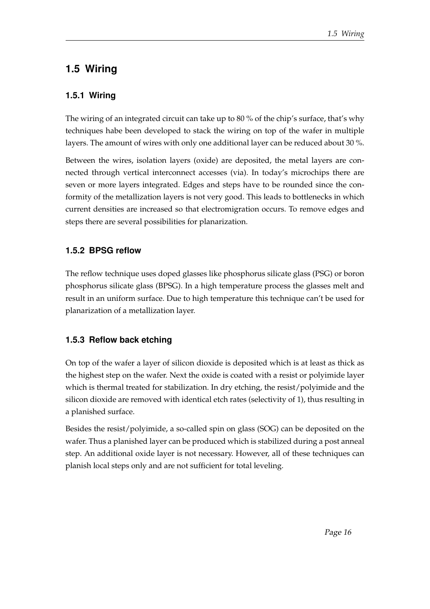### <span id="page-20-0"></span>**1.5 Wiring**

#### <span id="page-20-1"></span>**1.5.1 Wiring**

The wiring of an integrated circuit can take up to 80 % of the chip's surface, that's why techniques habe been developed to stack the wiring on top of the wafer in multiple layers. The amount of wires with only one additional layer can be reduced about 30 %.

Between the wires, isolation layers (oxide) are deposited, the metal layers are connected through vertical interconnect accesses (via). In today's microchips there are seven or more layers integrated. Edges and steps have to be rounded since the conformity of the metallization layers is not very good. This leads to bottlenecks in which current densities are increased so that electromigration occurs. To remove edges and steps there are several possibilities for planarization.

#### <span id="page-20-2"></span>**1.5.2 BPSG reflow**

The reflow technique uses doped glasses like phosphorus silicate glass (PSG) or boron phosphorus silicate glass (BPSG). In a high temperature process the glasses melt and result in an uniform surface. Due to high temperature this technique can't be used for planarization of a metallization layer.

#### <span id="page-20-3"></span>**1.5.3 Reflow back etching**

On top of the wafer a layer of silicon dioxide is deposited which is at least as thick as the highest step on the wafer. Next the oxide is coated with a resist or polyimide layer which is thermal treated for stabilization. In dry etching, the resist/polyimide and the silicon dioxide are removed with identical etch rates (selectivity of 1), thus resulting in a planished surface.

Besides the resist/polyimide, a so-called spin on glass (SOG) can be deposited on the wafer. Thus a planished layer can be produced which is stabilized during a post anneal step. An additional oxide layer is not necessary. However, all of these techniques can planish local steps only and are not sufficient for total leveling.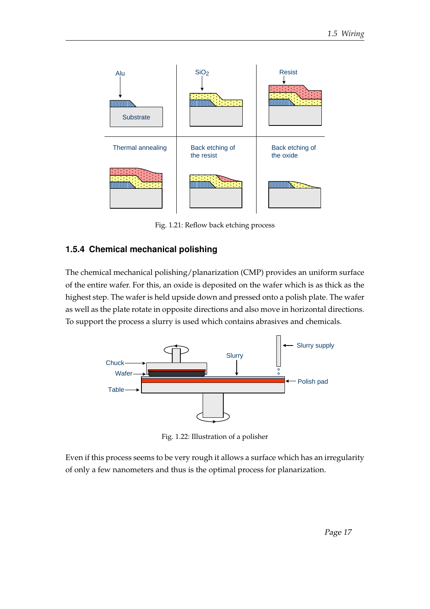<span id="page-21-1"></span>

Fig. 1.21: Reflow back etching process

#### <span id="page-21-0"></span>**1.5.4 Chemical mechanical polishing**

The chemical mechanical polishing/planarization (CMP) provides an uniform surface of the entire wafer. For this, an oxide is deposited on the wafer which is as thick as the highest step. The wafer is held upside down and pressed onto a polish plate. The wafer as well as the plate rotate in opposite directions and also move in horizontal directions. To support the process a slurry is used which contains abrasives and chemicals.

<span id="page-21-2"></span>

Fig. 1.22: Illustration of a polisher

Even if this process seems to be very rough it allows a surface which has an irregularity of only a few nanometers and thus is the optimal process for planarization.